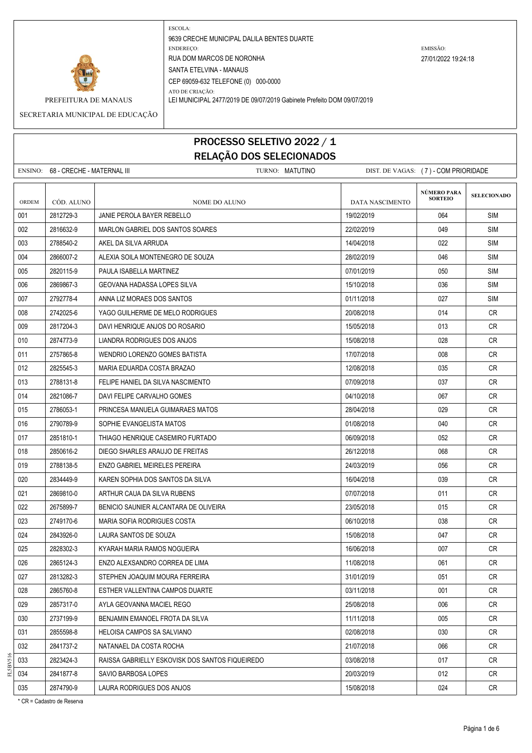

ESCOLA: 9639 CRECHE MUNICIPAL DALILA BENTES DUARTE ENDEREÇO: EMISSÃO: RUA DOM MARCOS DE NORONHA 27/01/2022 19:24:18 SANTA ETELVINA - MANAUS CEP 69059-632 TELEFONE (0) 000-0000

ATO DE CRIAÇÃO: PREFEITURA DE MANAUS LEI MUNICIPAL 2477/2019 DE 09/07/2019 Gabinete Prefeito DOM 09/07/2019

SECRETARIA MUNICIPAL DE EDUCAÇÃO

# PROCESSO SELETIVO 2022 / 1 RELAÇÃO DOS SELECIONADOS

|       | ENSINO: 68 - CRECHE - MATERNAL III |                                                 | TURNO: MATUTINO |                 | DIST. DE VAGAS: (7) - COM PRIORIDADE |                    |
|-------|------------------------------------|-------------------------------------------------|-----------------|-----------------|--------------------------------------|--------------------|
| ORDEM | CÓD. ALUNO                         | NOME DO ALUNO                                   |                 | DATA NASCIMENTO | NÚMERO PARA<br><b>SORTEIO</b>        | <b>SELECIONADO</b> |
| 001   | 2812729-3                          | JANIE PEROLA BAYER REBELLO                      |                 | 19/02/2019      | 064                                  | <b>SIM</b>         |
| 002   | 2816632-9                          | MARLON GABRIEL DOS SANTOS SOARES                |                 | 22/02/2019      | 049                                  | <b>SIM</b>         |
| 003   | 2788540-2                          | AKEL DA SILVA ARRUDA                            |                 | 14/04/2018      | 022                                  | <b>SIM</b>         |
| 004   | 2866007-2                          | ALEXIA SOILA MONTENEGRO DE SOUZA                |                 | 28/02/2019      | 046                                  | <b>SIM</b>         |
| 005   | 2820115-9                          | PAULA ISABELLA MARTINEZ                         |                 | 07/01/2019      | 050                                  | <b>SIM</b>         |
| 006   | 2869867-3                          | GEOVANA HADASSA LOPES SILVA                     |                 | 15/10/2018      | 036                                  | <b>SIM</b>         |
| 007   | 2792778-4                          | ANNA LIZ MORAES DOS SANTOS                      |                 | 01/11/2018      | 027                                  | <b>SIM</b>         |
| 008   | 2742025-6                          | YAGO GUILHERME DE MELO RODRIGUES                |                 | 20/08/2018      | 014                                  | CR                 |
| 009   | 2817204-3                          | DAVI HENRIQUE ANJOS DO ROSARIO                  |                 | 15/05/2018      | 013                                  | <b>CR</b>          |
| 010   | 2874773-9                          | LIANDRA RODRIGUES DOS ANJOS                     |                 | 15/08/2018      | 028                                  | CR.                |
| 011   | 2757865-8                          | WENDRIO LORENZO GOMES BATISTA                   |                 | 17/07/2018      | 008                                  | <b>CR</b>          |
| 012   | 2825545-3                          | MARIA EDUARDA COSTA BRAZAO                      |                 | 12/08/2018      | 035                                  | CR                 |
| 013   | 2788131-8                          | FELIPE HANIEL DA SILVA NASCIMENTO               |                 | 07/09/2018      | 037                                  | CR.                |
| 014   | 2821086-7                          | DAVI FELIPE CARVALHO GOMES                      |                 | 04/10/2018      | 067                                  | <b>CR</b>          |
| 015   | 2786053-1                          | PRINCESA MANUELA GUIMARAES MATOS                |                 | 28/04/2018      | 029                                  | CR                 |
| 016   | 2790789-9                          | SOPHIE EVANGELISTA MATOS                        |                 | 01/08/2018      | 040                                  | CR.                |
| 017   | 2851810-1                          | THIAGO HENRIQUE CASEMIRO FURTADO                |                 | 06/09/2018      | 052                                  | <b>CR</b>          |
| 018   | 2850616-2                          | DIEGO SHARLES ARAUJO DE FREITAS                 |                 | 26/12/2018      | 068                                  | CR                 |
| 019   | 2788138-5                          | ENZO GABRIEL MEIRELES PEREIRA                   |                 | 24/03/2019      | 056                                  | CR.                |
| 020   | 2834449-9                          | KAREN SOPHIA DOS SANTOS DA SILVA                |                 | 16/04/2018      | 039                                  | <b>CR</b>          |
| 021   | 2869810-0                          | ARTHUR CAUA DA SILVA RUBENS                     |                 | 07/07/2018      | 011                                  | CR                 |
| 022   | 2675899-7                          | BENICIO SAUNIER ALCANTARA DE OLIVEIRA           |                 | 23/05/2018      | 015                                  | CR                 |
| 023   | 2749170-6                          | MARIA SOFIA RODRIGUES COSTA                     |                 | 06/10/2018      | 038                                  | <b>CR</b>          |
| 024   | 2843926-0                          | LAURA SANTOS DE SOUZA                           |                 | 15/08/2018      | 047                                  | CR.                |
| 025   | 2828302-3                          | KYARAH MARIA RAMOS NOGUEIRA                     |                 | 16/06/2018      | 007                                  | CR                 |
| 026   | 2865124-3                          | ENZO ALEXSANDRO CORREA DE LIMA                  |                 | 11/08/2018      | 061                                  | CR                 |
| 027   | 2813282-3                          | STEPHEN JOAQUIM MOURA FERREIRA                  |                 | 31/01/2019      | 051                                  | CR                 |
| 028   | 2865760-8                          | ESTHER VALLENTINA CAMPOS DUARTE                 |                 | 03/11/2018      | 001                                  | <b>CR</b>          |
| 029   | 2857317-0                          | AYLA GEOVANNA MACIEL REGO                       |                 | 25/08/2018      | 006                                  | CR                 |
| 030   | 2737199-9                          | BENJAMIN EMANOEL FROTA DA SILVA                 |                 | 11/11/2018      | 005                                  | CR                 |
| 031   | 2855598-8                          | HELOISA CAMPOS SA SALVIANO                      |                 | 02/08/2018      | 030                                  | <b>CR</b>          |
| 032   | 2841737-2                          | NATANAEL DA COSTA ROCHA                         |                 | 21/07/2018      | 066                                  | CR                 |
| 033   | 2823424-3                          | RAISSA GABRIELLY ESKOVISK DOS SANTOS FIQUEIREDO |                 | 03/08/2018      | 017                                  | CR                 |
| 034   | 2841877-8                          | SAVIO BARBOSA LOPES                             |                 | 20/03/2019      | 012                                  | CR                 |
| 035   | 2874790-9                          | LAURA RODRIGUES DOS ANJOS                       |                 | 15/08/2018      | 024                                  | CR                 |

\* CR = Cadastro de Reserva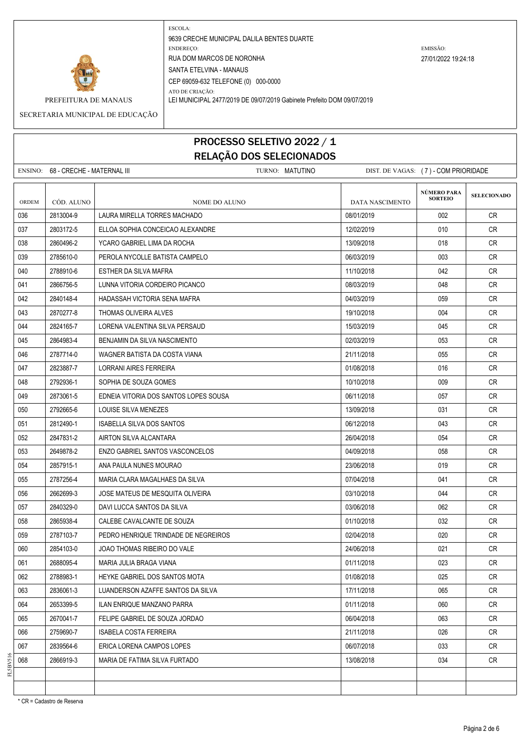

ATO DE CRIAÇÃO:

ESCOLA: 9639 CRECHE MUNICIPAL DALILA BENTES DUARTE ENDEREÇO: EMISSÃO: RUA DOM MARCOS DE NORONHA 27/01/2022 19:24:18 SANTA ETELVINA - MANAUS CEP 69059-632 TELEFONE (0) 000-0000

PREFEITURA DE MANAUS LEI MUNICIPAL 2477/2019 DE 09/07/2019 Gabinete Prefeito DOM 09/07/2019

SECRETARIA MUNICIPAL DE EDUCAÇÃO

# PROCESSO SELETIVO 2022 / 1 RELAÇÃO DOS SELECIONADOS

|       | ENSINO: 68 - CRECHE - MATERNAL III | TURNO: MATUTINO                        | DIST. DE VAGAS: (7) - COM PRIORIDADE |                               |                    |
|-------|------------------------------------|----------------------------------------|--------------------------------------|-------------------------------|--------------------|
| ORDEM | CÓD. ALUNO                         | NOME DO ALUNO                          | DATA NASCIMENTO                      | NÚMERO PARA<br><b>SORTEIO</b> | <b>SELECIONADO</b> |
| 036   | 2813004-9                          | LAURA MIRELLA TORRES MACHADO           | 08/01/2019                           | 002                           | CR.                |
| 037   | 2803172-5                          | ELLOA SOPHIA CONCEICAO ALEXANDRE       | 12/02/2019                           | 010                           | CR                 |
| 038   | 2860496-2                          | YCARO GABRIEL LIMA DA ROCHA            | 13/09/2018                           | 018                           | CR.                |
| 039   | 2785610-0                          | PEROLA NYCOLLE BATISTA CAMPELO         | 06/03/2019                           | 003                           | CR                 |
| 040   | 2788910-6                          | ESTHER DA SILVA MAFRA                  | 11/10/2018                           | 042                           | CR                 |
| 041   | 2866756-5                          | LUNNA VITORIA CORDEIRO PICANCO         | 08/03/2019                           | 048                           | CR.                |
| 042   | 2840148-4                          | HADASSAH VICTORIA SENA MAFRA           | 04/03/2019                           | 059                           | CR                 |
| 043   | 2870277-8                          | THOMAS OLIVEIRA ALVES                  | 19/10/2018                           | 004                           | CR                 |
| 044   | 2824165-7                          | LORENA VALENTINA SILVA PERSAUD         | 15/03/2019                           | 045                           | CR.                |
| 045   | 2864983-4                          | BENJAMIN DA SILVA NASCIMENTO           | 02/03/2019                           | 053                           | <b>CR</b>          |
| 046   | 2787714-0                          | WAGNER BATISTA DA COSTA VIANA          | 21/11/2018                           | 055                           | CR                 |
| 047   | 2823887-7                          | <b>LORRANI AIRES FERREIRA</b>          | 01/08/2018                           | 016                           | CR                 |
| 048   | 2792936-1                          | SOPHIA DE SOUZA GOMES                  | 10/10/2018                           | 009                           | <b>CR</b>          |
| 049   | 2873061-5                          | EDNEIA VITORIA DOS SANTOS LOPES SOUSA  | 06/11/2018                           | 057                           | CR                 |
| 050   | 2792665-6                          | LOUISE SILVA MENEZES                   | 13/09/2018                           | 031                           | CR                 |
| 051   | 2812490-1                          | ISABELLA SILVA DOS SANTOS              | 06/12/2018                           | 043                           | <b>CR</b>          |
| 052   | 2847831-2                          | AIRTON SILVA ALCANTARA                 | 26/04/2018                           | 054                           | CR.                |
| 053   | 2649878-2                          | <b>ENZO GABRIEL SANTOS VASCONCELOS</b> | 04/09/2018                           | 058                           | CR                 |
| 054   | 2857915-1                          | ANA PAULA NUNES MOURAO                 | 23/06/2018                           | 019                           | <b>CR</b>          |
| 055   | 2787256-4                          | MARIA CLARA MAGALHAES DA SILVA         | 07/04/2018                           | 041                           | CR.                |
| 056   | 2662699-3                          | JOSE MATEUS DE MESQUITA OLIVEIRA       | 03/10/2018                           | 044                           | CR                 |
| 057   | 2840329-0                          | DAVI LUCCA SANTOS DA SILVA             | 03/06/2018                           | 062                           | CR                 |
| 058   | 2865938-4                          | CALEBE CAVALCANTE DE SOUZA             | 01/10/2018                           | 032                           | CR                 |
| 059   | 2787103-7                          | PEDRO HENRIQUE TRINDADE DE NEGREIROS   | 02/04/2018                           | 020                           | <b>CR</b>          |
| 060   | 2854103-0                          | JOAO THOMAS RIBEIRO DO VALE            | 24/06/2018                           | 021                           | CR                 |
| 061   | 2688095-4                          | MARIA JULIA BRAGA VIANA                | 01/11/2018                           | 023                           | <b>CR</b>          |
| 062   | 2788983-1                          | HEYKE GABRIEL DOS SANTOS MOTA          | 01/08/2018                           | 025                           | <b>CR</b>          |
| 063   | 2836061-3                          | LUANDERSON AZAFFE SANTOS DA SILVA      | 17/11/2018                           | 065                           | CR                 |
| 064   | 2653399-5                          | <b>ILAN ENRIQUE MANZANO PARRA</b>      | 01/11/2018                           | 060                           | <b>CR</b>          |
| 065   | 2670041-7                          | FELIPE GABRIEL DE SOUZA JORDAO         | 06/04/2018                           | 063                           | CR                 |
| 066   | 2759690-7                          | <b>ISABELA COSTA FERREIRA</b>          | 21/11/2018                           | 026                           | CR                 |
| 067   | 2839564-6                          | ERICA LORENA CAMPOS LOPES              | 06/07/2018                           | 033                           | <b>CR</b>          |
| 068   | 2866919-3                          | MARIA DE FATIMA SILVA FURTADO          | 13/08/2018                           | 034                           | CR                 |
|       |                                    |                                        |                                      |                               |                    |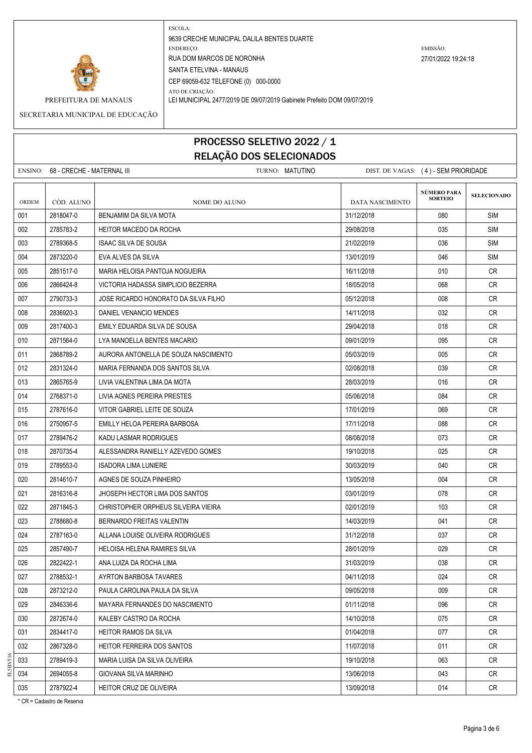

ATO DE CRIAÇÃO:

9639 CRECHE MUNICIPAL DALILA BENTES DUARTE ENDEREÇO: EMISSÃO: RUA DOM MARCOS DE NORONHA 27/01/2022 19:24:18 SANTA ETELVINA - MANAUS CEP 69059-632 TELEFONE (0) 000-0000

PREFEITURA DE MANAUS LEI MUNICIPAL 2477/2019 DE 09/07/2019 Gabinete Prefeito DOM 09/07/2019

SECRETARIA MUNICIPAL DE EDUCAÇÃO

### PROCESSO SELETIVO 2022 / 1 RELAÇÃO DOS SELECIONADOS

|       | ENSINO: 68 - CRECHE - MATERNAL III | TURNO: MATUTINO                      | DIST. DE VAGAS: (4) - SEM PRIORIDADE |                                      |                    |
|-------|------------------------------------|--------------------------------------|--------------------------------------|--------------------------------------|--------------------|
| ORDEM | CÓD. ALUNO                         | NOME DO ALUNO                        | DATA NASCIMENTO                      | <b>NÚMERO PARA</b><br><b>SORTEIO</b> | <b>SELECIONADO</b> |
| 001   | 2818047-0                          | BENJAMIM DA SILVA MOTA               | 31/12/2018                           | 080                                  | <b>SIM</b>         |
| 002   | 2785783-2                          | HEITOR MACEDO DA ROCHA               | 29/08/2018                           | 035                                  | <b>SIM</b>         |
| 003   | 2789368-5                          | ISAAC SILVA DE SOUSA                 | 21/02/2019                           | 036                                  | <b>SIM</b>         |
| 004   | 2873220-0                          | EVA ALVES DA SILVA                   | 13/01/2019                           | 046                                  | <b>SIM</b>         |
| 005   | 2851517-0                          | MARIA HELOISA PANTOJA NOGUEIRA       | 16/11/2018                           | 010                                  | CR.                |
| 006   | 2866424-8                          | VICTORIA HADASSA SIMPLICIO BEZERRA   | 18/05/2018                           | 068                                  | <b>CR</b>          |
| 007   | 2790733-3                          | JOSE RICARDO HONORATO DA SILVA FILHO | 05/12/2018                           | 008                                  | <b>CR</b>          |
| 008   | 2836920-3                          | DANIEL VENANCIO MENDES               | 14/11/2018                           | 032                                  | <b>CR</b>          |
| 009   | 2817400-3                          | EMILY EDUARDA SILVA DE SOUSA         | 29/04/2018                           | 018                                  | <b>CR</b>          |
| 010   | 2871564-0                          | LYA MANOELLA BENTES MACARIO          | 09/01/2019                           | 095                                  | CR                 |
| 011   | 2868789-2                          | AURORA ANTONELLA DE SOUZA NASCIMENTO | 05/03/2019                           | 005                                  | <b>CR</b>          |
| 012   | 2831324-0                          | MARIA FERNANDA DOS SANTOS SILVA      | 02/08/2018                           | 039                                  | <b>CR</b>          |
| 013   | 2865765-9                          | LIVIA VALENTINA LIMA DA MOTA         | 28/03/2019                           | 016                                  | CR                 |
| 014   | 2768371-0                          | LIVIA AGNES PEREIRA PRESTES          | 05/06/2018                           | 084                                  | CR                 |
| 015   | 2787616-0                          | VITOR GABRIEL LEITE DE SOUZA         | 17/01/2019                           | 069                                  | <b>CR</b>          |
| 016   | 2750957-5                          | EMILLY HELOA PEREIRA BARBOSA         | 17/11/2018                           | 088                                  | <b>CR</b>          |
| 017   | 2789476-2                          | KADU LASMAR RODRIGUES                | 08/08/2018                           | 073                                  | <b>CR</b>          |
| 018   | 2870735-4                          | ALESSANDRA RANIELLY AZEVEDO GOMES    | 19/10/2018                           | 025                                  | <b>CR</b>          |
| 019   | 2789553-0                          | <b>ISADORA LIMA LUNIERE</b>          | 30/03/2019                           | 040                                  | <b>CR</b>          |
| 020   | 2814610-7                          | AGNES DE SOUZA PINHEIRO              | 13/05/2018                           | 004                                  | <b>CR</b>          |
| 021   | 2816316-8                          | JHOSEPH HECTOR LIMA DOS SANTOS       | 03/01/2019                           | 078                                  | <b>CR</b>          |
| 022   | 2871845-3                          | CHRISTOPHER ORPHEUS SILVEIRA VIEIRA  | 02/01/2019                           | 103                                  | CR.                |
| 023   | 2788680-8                          | BERNARDO FREITAS VALENTIN            | 14/03/2019                           | 041                                  | <b>CR</b>          |
| 024   | 2787163-0                          | ALLANA LOUISE OLIVEIRA RODRIGUES     | 31/12/2018                           | 037                                  | CR                 |
| 025   | 2857490-7                          | <b>HELOISA HELENA RAMIRES SILVA</b>  | 28/01/2019                           | 029                                  | CR                 |
| 026   | 2822422-1                          | ANA LUIZA DA ROCHA LIMA              | 31/03/2019                           | 038                                  | CR                 |
| 027   | 2788532-1                          | AYRTON BARBOSA TAVARES               | 04/11/2018                           | 024                                  | CR                 |
| 028   | 2873212-0                          | PAULA CAROLINA PAULA DA SILVA        | 09/05/2018                           | 009                                  | CR                 |
| 029   | 2846336-6                          | MAYARA FERNANDES DO NASCIMENTO       | 01/11/2018                           | 096                                  | CR                 |
| 030   | 2872674-0                          | KALEBY CASTRO DA ROCHA               | 14/10/2018                           | 075                                  | CR                 |
| 031   | 2834417-0                          | <b>HEITOR RAMOS DA SILVA</b>         | 01/04/2018                           | 077                                  | CR                 |
| 032   | 2867328-0                          | HEITOR FERREIRA DOS SANTOS           | 11/07/2018                           | 011                                  | CR                 |
| 033   | 2789419-3                          | MARIA LUISA DA SILVA OLIVEIRA        | 19/10/2018                           | 063                                  | CR                 |
| 034   | 2694055-8                          | GIOVANA SILVA MARINHO                | 13/06/2018                           | 043                                  | CR                 |

035 2787922-4 HEITOR CRUZ DE OLIVEIRA 13/09/2018 13/09/2018 13/09/2018 13/09/2018

\* CR = Cadastro de Reserva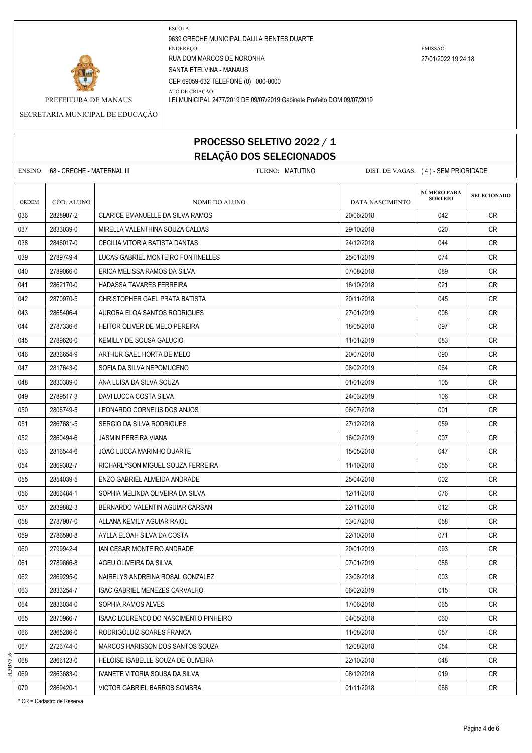

ESCOLA: 9639 CRECHE MUNICIPAL DALILA BENTES DUARTE ENDEREÇO: EMISSÃO: RUA DOM MARCOS DE NORONHA 27/01/2022 19:24:18 SANTA ETELVINA - MANAUS CEP 69059-632 TELEFONE (0) 000-0000

ATO DE CRIAÇÃO: PREFEITURA DE MANAUS LEI MUNICIPAL 2477/2019 DE 09/07/2019 Gabinete Prefeito DOM 09/07/2019

#### SECRETARIA MUNICIPAL DE EDUCAÇÃO

### PROCESSO SELETIVO 2022 / 1 RELAÇÃO DOS SELECIONADOS

|              | ENSINO: 68 - CRECHE - MATERNAL III |                                         | TURNO: MATUTINO | DIST. DE VAGAS: (4) - SEM PRIORIDADE |                               |                    |
|--------------|------------------------------------|-----------------------------------------|-----------------|--------------------------------------|-------------------------------|--------------------|
| <b>ORDEM</b> | CÓD. ALUNO                         | <b>NOME DO ALUNO</b>                    |                 | DATA NASCIMENTO                      | NÚMERO PARA<br><b>SORTEIO</b> | <b>SELECIONADO</b> |
| 036          | 2828907-2                          | <b>CLARICE EMANUELLE DA SILVA RAMOS</b> |                 | 20/06/2018                           | 042                           | CR                 |
| 037          | 2833039-0                          | MIRELLA VALENTHINA SOUZA CALDAS         |                 | 29/10/2018                           | 020                           | CR.                |
| 038          | 2846017-0                          | CECILIA VITORIA BATISTA DANTAS          |                 | 24/12/2018                           | 044                           | CR                 |
| 039          | 2789749-4                          | LUCAS GABRIEL MONTEIRO FONTINELLES      |                 | 25/01/2019                           | 074                           | CR                 |
| 040          | 2789066-0                          | ERICA MELISSA RAMOS DA SILVA            |                 | 07/08/2018                           | 089                           | CR                 |
| 041          | 2862170-0                          | HADASSA TAVARES FERREIRA                |                 | 16/10/2018                           | 021                           | CR.                |
| 042          | 2870970-5                          | CHRISTOPHER GAEL PRATA BATISTA          |                 | 20/11/2018                           | 045                           | CR.                |
| 043          | 2865406-4                          | AURORA ELOA SANTOS RODRIGUES            |                 | 27/01/2019                           | 006                           | CR.                |
| 044          | 2787336-6                          | HEITOR OLIVER DE MELO PEREIRA           |                 | 18/05/2018                           | 097                           | CR.                |
| 045          | 2789620-0                          | KEMILLY DE SOUSA GALUCIO                |                 | 11/01/2019                           | 083                           | CR                 |
| 046          | 2836654-9                          | ARTHUR GAEL HORTA DE MELO               |                 | 20/07/2018                           | 090                           | CR                 |
| 047          | 2817643-0                          | SOFIA DA SILVA NEPOMUCENO               |                 | 08/02/2019                           | 064                           | CR.                |
| 048          | 2830389-0                          | ANA LUISA DA SILVA SOUZA                |                 | 01/01/2019                           | 105                           | CR                 |
| 049          | 2789517-3                          | DAVI LUCCA COSTA SILVA                  |                 | 24/03/2019                           | 106                           | CR                 |
| 050          | 2806749-5                          | LEONARDO CORNELIS DOS ANJOS             |                 | 06/07/2018                           | 001                           | CR                 |
| 051          | 2867681-5                          | SERGIO DA SILVA RODRIGUES               |                 | 27/12/2018                           | 059                           | <b>CR</b>          |
| 052          | 2860494-6                          | <b>JASMIN PEREIRA VIANA</b>             |                 | 16/02/2019                           | 007                           | CR.                |
| 053          | 2816544-6                          | JOAO LUCCA MARINHO DUARTE               |                 | 15/05/2018                           | 047                           | CR.                |
| 054          | 2869302-7                          | RICHARLYSON MIGUEL SOUZA FERREIRA       |                 | 11/10/2018                           | 055                           | CR                 |
| 055          | 2854039-5                          | ENZO GABRIEL ALMEIDA ANDRADE            |                 | 25/04/2018                           | 002                           | CR                 |
| 056          | 2866484-1                          | SOPHIA MELINDA OLIVEIRA DA SILVA        |                 | 12/11/2018                           | 076                           | CR                 |
| 057          | 2839882-3                          | BERNARDO VALENTIN AGUIAR CARSAN         |                 | 22/11/2018                           | 012                           | CR                 |
| 058          | 2787907-0                          | ALLANA KEMILY AGUIAR RAIOL              |                 | 03/07/2018                           | 058                           | CR.                |
| 059          | 2786590-8                          | AYLLA ELOAH SILVA DA COSTA              |                 | 22/10/2018                           | 071                           | CR                 |
| 060          | 2799942-4                          | IAN CESAR MONTEIRO ANDRADE              |                 | 20/01/2019                           | 093                           | CR.                |
| 061          | 2789666-8                          | AGEU OLIVEIRA DA SILVA                  |                 | 07/01/2019                           | 086                           | <b>CR</b>          |
| 062          | 2869295-0                          | NAIRELYS ANDREINA ROSAL GONZALEZ        |                 | 23/08/2018                           | 003                           | CR                 |
| 063          | 2833254-7                          | ISAC GABRIEL MENEZES CARVALHO           |                 | 06/02/2019                           | 015                           | CR                 |
| 064          | 2833034-0                          | SOPHIA RAMOS ALVES                      |                 | 17/06/2018                           | 065                           | CR                 |
| 065          | 2870966-7                          | ISAAC LOURENCO DO NASCIMENTO PINHEIRO   |                 | 04/05/2018                           | 060                           | <b>CR</b>          |
| 066          | 2865286-0                          | RODRIGOLUIZ SOARES FRANCA               |                 | 11/08/2018                           | 057                           | CR                 |
| 067          | 2726744-0                          | MARCOS HARISSON DOS SANTOS SOUZA        |                 | 12/08/2018                           | 054                           | <b>CR</b>          |
| 068          | 2866123-0                          | HELOISE ISABELLE SOUZA DE OLIVEIRA      |                 | 22/10/2018                           | 048                           | CR                 |
| 069          | 2863683-0                          | IVANETE VITORIA SOUSA DA SILVA          |                 | 08/12/2018                           | 019                           | CR                 |
| 070          | 2869420-1                          | VICTOR GABRIEL BARROS SOMBRA            |                 | 01/11/2018                           | 066                           | <b>CR</b>          |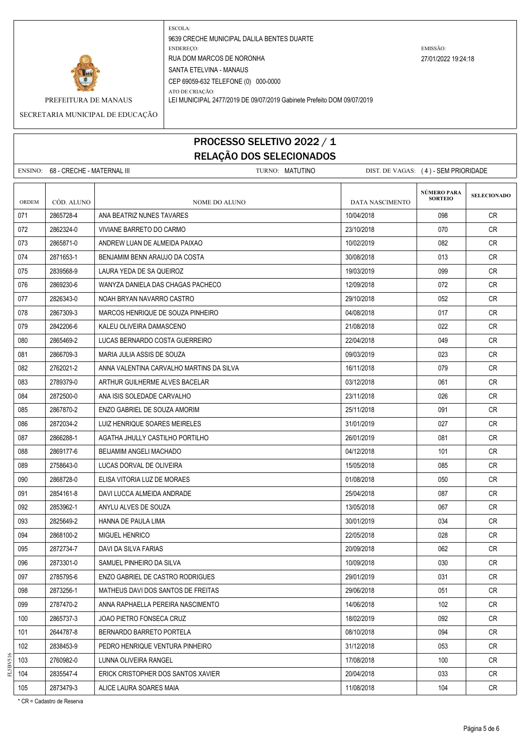

ATO DE CRIAÇÃO:

9639 CRECHE MUNICIPAL DALILA BENTES DUARTE ENDEREÇO: EMISSÃO: RUA DOM MARCOS DE NORONHA 27/01/2022 19:24:18 SANTA ETELVINA - MANAUS CEP 69059-632 TELEFONE (0) 000-0000

PREFEITURA DE MANAUS LEI MUNICIPAL 2477/2019 DE 09/07/2019 Gabinete Prefeito DOM 09/07/2019

SECRETARIA MUNICIPAL DE EDUCAÇÃO

### PROCESSO SELETIVO 2022 / 1 RELAÇÃO DOS SELECIONADOS

|       |                                    | ---- - <sub>3</sub> --- -                |                                      |                                      |                    |
|-------|------------------------------------|------------------------------------------|--------------------------------------|--------------------------------------|--------------------|
|       | ENSINO: 68 - CRECHE - MATERNAL III | TURNO: MATUTINO                          | DIST. DE VAGAS: (4) - SEM PRIORIDADE |                                      |                    |
| ORDEM | CÓD. ALUNO                         | NOME DO ALUNO                            | DATA NASCIMENTO                      | <b>NÚMERO PARA</b><br><b>SORTEIO</b> | <b>SELECIONADO</b> |
| 071   | 2865728-4                          | ANA BEATRIZ NUNES TAVARES                | 10/04/2018                           | 098                                  | CR                 |
| 072   | 2862324-0                          | VIVIANE BARRETO DO CARMO                 | 23/10/2018                           | 070                                  | CR                 |
| 073   | 2865871-0                          | ANDREW LUAN DE ALMEIDA PAIXAO            | 10/02/2019                           | 082                                  | CR.                |
| 074   | 2871653-1                          | BENJAMIM BENN ARAUJO DA COSTA            | 30/08/2018                           | 013                                  | CR                 |
| 075   | 2839568-9                          | LAURA YEDA DE SA QUEIROZ                 | 19/03/2019                           | 099                                  | <b>CR</b>          |
| 076   | 2869230-6                          | WANYZA DANIELA DAS CHAGAS PACHECO        | 12/09/2018                           | 072                                  | CR                 |
| 077   | 2826343-0                          | NOAH BRYAN NAVARRO CASTRO                | 29/10/2018                           | 052                                  | <b>CR</b>          |
| 078   | 2867309-3                          | MARCOS HENRIQUE DE SOUZA PINHEIRO        | 04/08/2018                           | 017                                  | <b>CR</b>          |
| 079   | 2842206-6                          | KALEU OLIVEIRA DAMASCENO                 | 21/08/2018                           | 022                                  | CR.                |
| 080   | 2865469-2                          | LUCAS BERNARDO COSTA GUERREIRO           | 22/04/2018                           | 049                                  | <b>CR</b>          |
| 081   | 2866709-3                          | MARIA JULIA ASSIS DE SOUZA               | 09/03/2019                           | 023                                  | <b>CR</b>          |
| 082   | 2762021-2                          | ANNA VALENTINA CARVALHO MARTINS DA SILVA | 16/11/2018                           | 079                                  | CR.                |
| 083   | 2789379-0                          | ARTHUR GUILHERME ALVES BACELAR           | 03/12/2018                           | 061                                  | CR                 |
| 084   | 2872500-0                          | ANA ISIS SOLEDADE CARVALHO               | 23/11/2018                           | 026                                  | <b>CR</b>          |
| 085   | 2867870-2                          | ENZO GABRIEL DE SOUZA AMORIM             | 25/11/2018                           | 091                                  | <b>CR</b>          |
| 086   | 2872034-2                          | LUIZ HENRIQUE SOARES MEIRELES            | 31/01/2019                           | 027                                  | <b>CR</b>          |
| 087   | 2866288-1                          | AGATHA JHULLY CASTILHO PORTILHO          | 26/01/2019                           | 081                                  | CR                 |
| 088   | 2869177-6                          | BEIJAMIM ANGELI MACHADO                  | 04/12/2018                           | 101                                  | <b>CR</b>          |
| 089   | 2758643-0                          | LUCAS DORVAL DE OLIVEIRA                 | 15/05/2018                           | 085                                  | CR                 |
| 090   | 2868728-0                          | ELISA VITORIA LUZ DE MORAES              | 01/08/2018                           | 050                                  | CR.                |
| 091   | 2854161-8                          | DAVI LUCCA ALMEIDA ANDRADE               | 25/04/2018                           | 087                                  | <b>CR</b>          |
| 092   | 2853962-1                          | ANYLU ALVES DE SOUZA                     | 13/05/2018                           | 067                                  | <b>CR</b>          |
| 093   | 2825649-2                          | HANNA DE PAULA LIMA                      | 30/01/2019                           | 034                                  | CR                 |
| 094   | 2868100-2                          | MIGUEL HENRICO                           | 22/05/2018                           | 028                                  | <b>CR</b>          |
| 095   | 2872734-7                          | DAVI DA SILVA FARIAS                     | 20/09/2018                           | 062                                  | CR                 |
| 096   | 2873301-0                          | SAMUEL PINHEIRO DA SILVA                 | 10/09/2018                           | 030                                  | CR                 |
| 097   | 2785795-6                          | ENZO GABRIEL DE CASTRO RODRIGUES         | 29/01/2019                           | 031                                  | <b>CR</b>          |
| 098   | 2873256-1                          | MATHEUS DAVI DOS SANTOS DE FREITAS       | 29/06/2018                           | 051                                  | CR                 |
| 099   | 2787470-2                          | ANNA RAPHAELLA PEREIRA NASCIMENTO        | 14/06/2018                           | 102                                  | CR                 |
| 100   | 2865737-3                          | JOAO PIETRO FONSECA CRUZ                 | 18/02/2019                           | 092                                  | CR                 |
| 101   | 2644787-8                          | BERNARDO BARRETO PORTELA                 | 08/10/2018                           | 094                                  | CR                 |
| 102   | 2838453-9                          | PEDRO HENRIQUE VENTURA PINHEIRO          | 31/12/2018                           | 053                                  | CR                 |

103 2760982-0 LUNNA OLIVEIRA RANGEL 17 UNIVERENT RANGEL 17/08/2018 100 CR

104 | 2835547-4 | ERICK CRISTOPHER DOS SANTOS XAVIER 2000 | 20/04/2018 | 033 | CR 105 2873479-3 ALICE LAURA SOARES MAIA 11/08/2018 11/08/2018 104 CR

FL5BV516

\* CR = Cadastro de Reserva